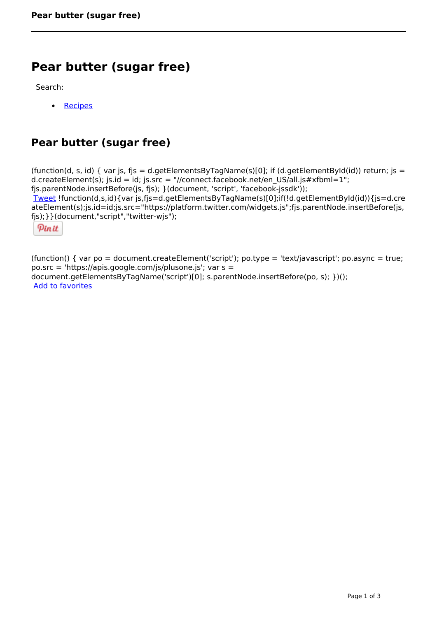# **Pear butter (sugar free)**

Search:

 [Recipes](https://www.naturalhealthmag.com.au/nourish/recipes)  $\bullet$ 

## **Pear butter (sugar free)**

(function(d, s, id) { var js, fjs = d.getElementsByTagName(s)[0]; if (d.getElementById(id)) return; js = d.createElement(s); js.id = id; js.src = "//connect.facebook.net/en\_US/all.js#xfbml=1"; fjs.parentNode.insertBefore(js, fjs); }(document, 'script', 'facebook-jssdk')); [Tweet](https://twitter.com/share) !function(d,s,id){var js,fjs=d.getElementsByTagName(s)[0];if(!d.getElementById(id)){js=d.cre ateElement(s);js.id=id;js.src="https://platform.twitter.com/widgets.js";fjs.parentNode.insertBefore(js, fjs);}}(document,"script","twitter-wjs"); Pinit

(function() { var po = document.createElement('script'); po.type = 'text/javascript'; po.async = true; po.src = 'https://apis.google.com/js/plusone.js'; var s = document.getElementsByTagName('script')[0]; s.parentNode.insertBefore(po, s); })(); Add to favorites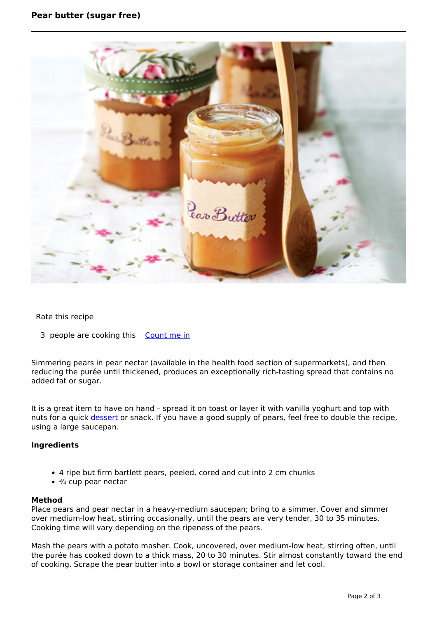

#### Rate this recipe

3 people are cooking this [Count me in](https://www.naturalhealthmag.com.au/flag/flag/favorites/518?destination=printpdf%2F518&token=b7773f9832e6d153da17ea6480e85658)

Simmering pears in pear nectar (available in the health food section of supermarkets), and then reducing the purée until thickened, produces an exceptionally rich-tasting spread that contains no added fat or sugar.

It is a great item to have on hand – spread it on toast or layer it with vanilla yoghurt and top with nuts for a quick [dessert](http://www.naturalhealthmag.com.au/nourish/desserts) or snack. If you have a good supply of pears, feel free to double the recipe, using a large saucepan.

### **Ingredients**

- 4 ripe but firm bartlett pears, peeled, cored and cut into 2 cm chunks
- $\cdot$   $\frac{3}{4}$  cup pear nectar

#### **Method**

Place pears and pear nectar in a heavy-medium saucepan; bring to a simmer. Cover and simmer over medium-low heat, stirring occasionally, until the pears are very tender, 30 to 35 minutes. Cooking time will vary depending on the ripeness of the pears.

Mash the pears with a potato masher. Cook, uncovered, over medium-low heat, stirring often, until the purée has cooked down to a thick mass, 20 to 30 minutes. Stir almost constantly toward the end of cooking. Scrape the pear butter into a bowl or storage container and let cool.